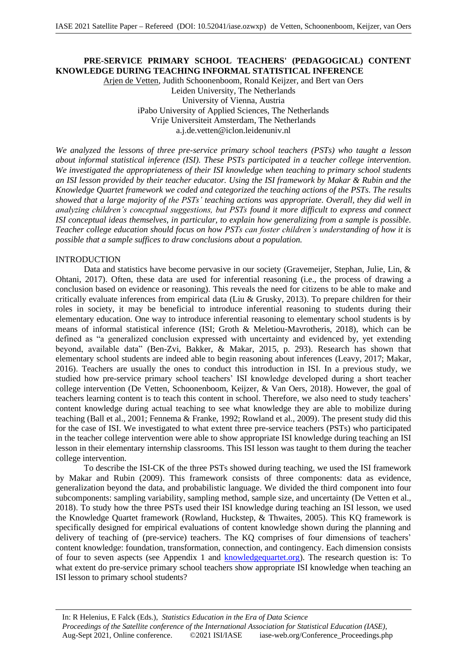# **PRE-SERVICE PRIMARY SCHOOL TEACHERS' (PEDAGOGICAL) CONTENT KNOWLEDGE DURING TEACHING INFORMAL STATISTICAL INFERENCE**

Arjen de Vetten, Judith Schoonenboom, Ronald Keijzer, and Bert van Oers Leiden University, The Netherlands University of Vienna, Austria iPabo University of Applied Sciences, The Netherlands Vrije Universiteit Amsterdam, The Netherlands a.j.de.vetten@iclon.leidenuniv.nl

*We analyzed the lessons of three pre-service primary school teachers (PSTs) who taught a lesson about informal statistical inference (ISI). These PSTs participated in a teacher college intervention. We investigated the appropriateness of their ISI knowledge when teaching to primary school students an ISI lesson provided by their teacher educator. Using the ISI framework by Makar & Rubin and the Knowledge Quartet framework we coded and categorized the teaching actions of the PSTs. The results showed that a large majority of the PSTs' teaching actions was appropriate. Overall, they did well in analyzing children's conceptual suggestions, but PSTs found it more difficult to express and connect ISI conceptual ideas themselves, in particular, to explain how generalizing from a sample is possible. Teacher college education should focus on how PSTs can foster children's understanding of how it is possible that a sample suffices to draw conclusions about a population.*

#### INTRODUCTION

Data and statistics have become pervasive in our society (Gravemeijer, Stephan, Julie, Lin, & Ohtani, 2017). Often, these data are used for inferential reasoning (i.e., the process of drawing a conclusion based on evidence or reasoning). This reveals the need for citizens to be able to make and critically evaluate inferences from empirical data (Liu & Grusky, 2013). To prepare children for their roles in society, it may be beneficial to introduce inferential reasoning to students during their elementary education. One way to introduce inferential reasoning to elementary school students is by means of informal statistical inference (ISI; Groth & Meletiou-Mavrotheris, 2018), which can be defined as "a generalized conclusion expressed with uncertainty and evidenced by, yet extending beyond, available data" (Ben-Zvi, Bakker, & Makar, 2015, p. 293). Research has shown that elementary school students are indeed able to begin reasoning about inferences (Leavy, 2017; Makar, 2016). Teachers are usually the ones to conduct this introduction in ISI. In a previous study, we studied how pre-service primary school teachers' ISI knowledge developed during a short teacher college intervention (De Vetten, Schoonenboom, Keijzer, & Van Oers, 2018). However, the goal of teachers learning content is to teach this content in school. Therefore, we also need to study teachers' content knowledge during actual teaching to see what knowledge they are able to mobilize during teaching (Ball et al., 2001; Fennema & Franke, 1992; Rowland et al., 2009). The present study did this for the case of ISI. We investigated to what extent three pre-service teachers (PSTs) who participated in the teacher college intervention were able to show appropriate ISI knowledge during teaching an ISI lesson in their elementary internship classrooms. This ISI lesson was taught to them during the teacher college intervention.

To describe the ISI-CK of the three PSTs showed during teaching, we used the ISI framework by Makar and Rubin (2009). This framework consists of three components: data as evidence, generalization beyond the data, and probabilistic language. We divided the third component into four subcomponents: sampling variability, sampling method, sample size, and uncertainty (De Vetten et al., 2018). To study how the three PSTs used their ISI knowledge during teaching an ISI lesson, we used the Knowledge Quartet framework (Rowland, Huckstep, & Thwaites, 2005). This KQ framework is specifically designed for empirical evaluations of content knowledge shown during the planning and delivery of teaching of (pre-service) teachers. The KQ comprises of four dimensions of teachers' content knowledge: foundation, transformation, connection, and contingency. Each dimension consists of four to seven aspects (see Appendix 1 and knowledgequartet.org). The research question is: To what extent do pre-service primary school teachers show appropriate ISI knowledge when teaching an ISI lesson to primary school students?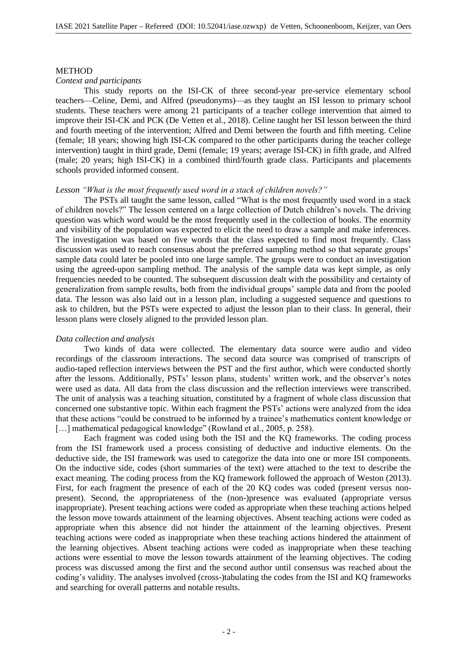#### **METHOD**

## *Context and participants*

This study reports on the ISI-CK of three second-year pre-service elementary school teachers—Celine, Demi, and Alfred (pseudonyms)—as they taught an ISI lesson to primary school students. These teachers were among 21 participants of a teacher college intervention that aimed to improve their ISI-CK and PCK (De Vetten et al., 2018). Celine taught her ISI lesson between the third and fourth meeting of the intervention; Alfred and Demi between the fourth and fifth meeting. Celine (female; 18 years; showing high ISI-CK compared to the other participants during the teacher college intervention) taught in third grade, Demi (female; 19 years; average ISI-CK) in fifth grade, and Alfred (male; 20 years; high ISI-CK) in a combined third/fourth grade class. Participants and placements schools provided informed consent.

## *Lesson "What is the most frequently used word in a stack of children novels?"*

The PSTs all taught the same lesson, called "What is the most frequently used word in a stack of children novels?" The lesson centered on a large collection of Dutch children's novels. The driving question was which word would be the most frequently used in the collection of books. The enormity and visibility of the population was expected to elicit the need to draw a sample and make inferences. The investigation was based on five words that the class expected to find most frequently. Class discussion was used to reach consensus about the preferred sampling method so that separate groups' sample data could later be pooled into one large sample. The groups were to conduct an investigation using the agreed-upon sampling method. The analysis of the sample data was kept simple, as only frequencies needed to be counted. The subsequent discussion dealt with the possibility and certainty of generalization from sample results, both from the individual groups' sample data and from the pooled data. The lesson was also laid out in a lesson plan, including a suggested sequence and questions to ask to children, but the PSTs were expected to adjust the lesson plan to their class. In general, their lesson plans were closely aligned to the provided lesson plan.

#### *Data collection and analysis*

Two kinds of data were collected. The elementary data source were audio and video recordings of the classroom interactions. The second data source was comprised of transcripts of audio-taped reflection interviews between the PST and the first author, which were conducted shortly after the lessons. Additionally, PSTs' lesson plans, students' written work, and the observer's notes were used as data. All data from the class discussion and the reflection interviews were transcribed. The unit of analysis was a teaching situation, constituted by a fragment of whole class discussion that concerned one substantive topic. Within each fragment the PSTs' actions were analyzed from the idea that these actions "could be construed to be informed by a trainee's mathematics content knowledge or [...] mathematical pedagogical knowledge" (Rowland et al., 2005, p. 258).

Each fragment was coded using both the ISI and the KQ frameworks. The coding process from the ISI framework used a process consisting of deductive and inductive elements. On the deductive side, the ISI framework was used to categorize the data into one or more ISI components. On the inductive side, codes (short summaries of the text) were attached to the text to describe the exact meaning. The coding process from the KQ framework followed the approach of Weston (2013). First, for each fragment the presence of each of the 20 KQ codes was coded (present versus nonpresent). Second, the appropriateness of the (non-)presence was evaluated (appropriate versus inappropriate). Present teaching actions were coded as appropriate when these teaching actions helped the lesson move towards attainment of the learning objectives. Absent teaching actions were coded as appropriate when this absence did not hinder the attainment of the learning objectives. Present teaching actions were coded as inappropriate when these teaching actions hindered the attainment of the learning objectives. Absent teaching actions were coded as inappropriate when these teaching actions were essential to move the lesson towards attainment of the learning objectives. The coding process was discussed among the first and the second author until consensus was reached about the coding's validity. The analyses involved (cross-)tabulating the codes from the ISI and KQ frameworks and searching for overall patterns and notable results.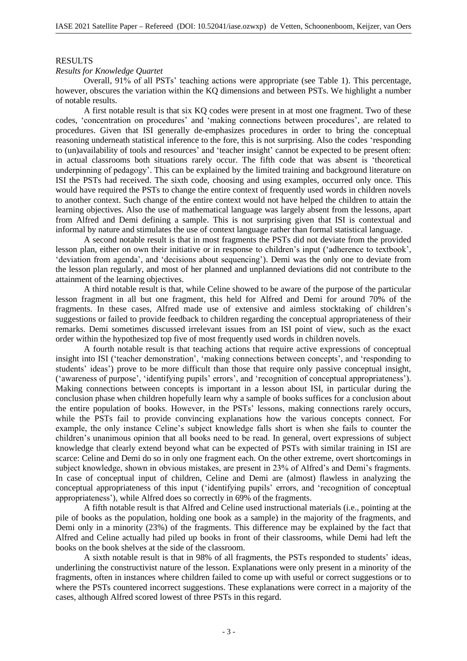#### RESULTS

#### *Results for Knowledge Quartet*

Overall, 91% of all PSTs' teaching actions were appropriate (see Table 1). This percentage, however, obscures the variation within the KQ dimensions and between PSTs. We highlight a number of notable results.

A first notable result is that six KQ codes were present in at most one fragment. Two of these codes, 'concentration on procedures' and 'making connections between procedures', are related to procedures. Given that ISI generally de-emphasizes procedures in order to bring the conceptual reasoning underneath statistical inference to the fore, this is not surprising. Also the codes 'responding to (un)availability of tools and resources' and 'teacher insight' cannot be expected to be present often: in actual classrooms both situations rarely occur. The fifth code that was absent is 'theoretical underpinning of pedagogy'. This can be explained by the limited training and background literature on ISI the PSTs had received. The sixth code, choosing and using examples, occurred only once. This would have required the PSTs to change the entire context of frequently used words in children novels to another context. Such change of the entire context would not have helped the children to attain the learning objectives. Also the use of mathematical language was largely absent from the lessons, apart from Alfred and Demi defining a sample. This is not surprising given that ISI is contextual and informal by nature and stimulates the use of context language rather than formal statistical language.

A second notable result is that in most fragments the PSTs did not deviate from the provided lesson plan, either on own their initiative or in response to children's input ('adherence to textbook', 'deviation from agenda', and 'decisions about sequencing'). Demi was the only one to deviate from the lesson plan regularly, and most of her planned and unplanned deviations did not contribute to the attainment of the learning objectives.

A third notable result is that, while Celine showed to be aware of the purpose of the particular lesson fragment in all but one fragment, this held for Alfred and Demi for around 70% of the fragments. In these cases, Alfred made use of extensive and aimless stocktaking of children's suggestions or failed to provide feedback to children regarding the conceptual appropriateness of their remarks. Demi sometimes discussed irrelevant issues from an ISI point of view, such as the exact order within the hypothesized top five of most frequently used words in children novels.

A fourth notable result is that teaching actions that require active expressions of conceptual insight into ISI ('teacher demonstration', 'making connections between concepts', and 'responding to students' ideas') prove to be more difficult than those that require only passive conceptual insight, ('awareness of purpose', 'identifying pupils' errors', and 'recognition of conceptual appropriateness'). Making connections between concepts is important in a lesson about ISI, in particular during the conclusion phase when children hopefully learn why a sample of books suffices for a conclusion about the entire population of books. However, in the PSTs' lessons, making connections rarely occurs, while the PSTs fail to provide convincing explanations how the various concepts connect. For example, the only instance Celine's subject knowledge falls short is when she fails to counter the children's unanimous opinion that all books need to be read. In general, overt expressions of subject knowledge that clearly extend beyond what can be expected of PSTs with similar training in ISI are scarce: Celine and Demi do so in only one fragment each. On the other extreme, overt shortcomings in subject knowledge, shown in obvious mistakes, are present in 23% of Alfred's and Demi's fragments. In case of conceptual input of children, Celine and Demi are (almost) flawless in analyzing the conceptual appropriateness of this input ('identifying pupils' errors, and 'recognition of conceptual appropriateness'), while Alfred does so correctly in 69% of the fragments.

A fifth notable result is that Alfred and Celine used instructional materials (i.e., pointing at the pile of books as the population, holding one book as a sample) in the majority of the fragments, and Demi only in a minority (23%) of the fragments. This difference may be explained by the fact that Alfred and Celine actually had piled up books in front of their classrooms, while Demi had left the books on the book shelves at the side of the classroom.

A sixth notable result is that in 98% of all fragments, the PSTs responded to students' ideas, underlining the constructivist nature of the lesson. Explanations were only present in a minority of the fragments, often in instances where children failed to come up with useful or correct suggestions or to where the PSTs countered incorrect suggestions. These explanations were correct in a majority of the cases, although Alfred scored lowest of three PSTs in this regard.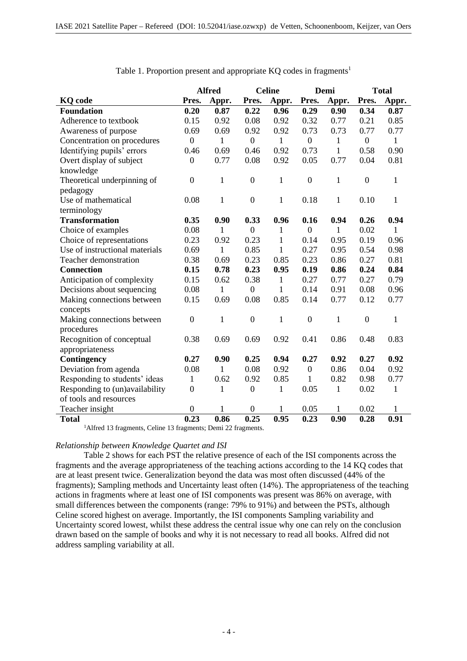|                                | <b>Alfred</b>    |              | <b>Celine</b>    |              | Demi             |              | <b>Total</b>     |              |
|--------------------------------|------------------|--------------|------------------|--------------|------------------|--------------|------------------|--------------|
| <b>KQ</b> code                 | Pres.            | Appr.        | Pres.            | Appr.        | Pres.            | Appr.        | Pres.            | Appr.        |
| <b>Foundation</b>              | 0.20             | 0.87         | 0.22             | 0.96         | 0.29             | 0.90         | 0.34             | 0.87         |
| Adherence to textbook          | 0.15             | 0.92         | 0.08             | 0.92         | 0.32             | 0.77         | 0.21             | 0.85         |
| Awareness of purpose           | 0.69             | 0.69         | 0.92             | 0.92         | 0.73             | 0.73         | 0.77             | 0.77         |
| Concentration on procedures    | $\mathbf{0}$     | 1            | $\boldsymbol{0}$ | $\mathbf{1}$ | $\boldsymbol{0}$ | $\mathbf{1}$ | $\boldsymbol{0}$ | $\mathbf{1}$ |
| Identifying pupils' errors     | 0.46             | 0.69         | 0.46             | 0.92         | 0.73             | $\mathbf{1}$ | 0.58             | 0.90         |
| Overt display of subject       | $\boldsymbol{0}$ | 0.77         | 0.08             | 0.92         | 0.05             | 0.77         | 0.04             | 0.81         |
| knowledge                      |                  |              |                  |              |                  |              |                  |              |
| Theoretical underpinning of    | $\boldsymbol{0}$ | 1            | $\boldsymbol{0}$ | $\mathbf{1}$ | $\boldsymbol{0}$ | $\mathbf{1}$ | $\boldsymbol{0}$ | $\mathbf{1}$ |
| pedagogy                       |                  |              |                  |              |                  |              |                  |              |
| Use of mathematical            | 0.08             | $\mathbf{1}$ | $\boldsymbol{0}$ | 1            | 0.18             | $\mathbf{1}$ | 0.10             | $\mathbf{1}$ |
| terminology                    |                  |              |                  |              |                  |              |                  |              |
| <b>Transformation</b>          | 0.35             | 0.90         | 0.33             | 0.96         | 0.16             | 0.94         | 0.26             | 0.94         |
| Choice of examples             | 0.08             | 1            | $\boldsymbol{0}$ | 1            | $\boldsymbol{0}$ | 1            | 0.02             | 1            |
| Choice of representations      | 0.23             | 0.92         | 0.23             | $\mathbf{1}$ | 0.14             | 0.95         | 0.19             | 0.96         |
| Use of instructional materials | 0.69             | 1            | 0.85             | $\mathbf{1}$ | 0.27             | 0.95         | 0.54             | 0.98         |
| Teacher demonstration          | 0.38             | 0.69         | 0.23             | 0.85         | 0.23             | 0.86         | 0.27             | 0.81         |
| <b>Connection</b>              | 0.15             | 0.78         | 0.23             | 0.95         | 0.19             | 0.86         | 0.24             | 0.84         |
| Anticipation of complexity     | 0.15             | 0.62         | 0.38             | $\mathbf{1}$ | 0.27             | 0.77         | 0.27             | 0.79         |
| Decisions about sequencing     | 0.08             | $\mathbf{1}$ | $\boldsymbol{0}$ | $\mathbf{1}$ | 0.14             | 0.91         | 0.08             | 0.96         |
| Making connections between     | 0.15             | 0.69         | 0.08             | 0.85         | 0.14             | 0.77         | 0.12             | 0.77         |
| concepts                       |                  |              |                  |              |                  |              |                  |              |
| Making connections between     | $\boldsymbol{0}$ | $\mathbf{1}$ | $\boldsymbol{0}$ | $\mathbf{1}$ | $\boldsymbol{0}$ | $\mathbf{1}$ | $\boldsymbol{0}$ | $\mathbf{1}$ |
| procedures                     |                  |              |                  |              |                  |              |                  |              |
| Recognition of conceptual      | 0.38             | 0.69         | 0.69             | 0.92         | 0.41             | 0.86         | 0.48             | 0.83         |
| appropriateness                |                  |              |                  |              |                  |              |                  |              |
| Contingency                    | 0.27             | 0.90         | 0.25             | 0.94         | 0.27             | 0.92         | 0.27             | 0.92         |
| Deviation from agenda          | 0.08             | 1            | 0.08             | 0.92         | $\boldsymbol{0}$ | 0.86         | 0.04             | 0.92         |
| Responding to students' ideas  | $\mathbf{1}$     | 0.62         | 0.92             | 0.85         | $\mathbf{1}$     | 0.82         | 0.98             | 0.77         |
| Responding to (un)availability | $\boldsymbol{0}$ | 1            | $\boldsymbol{0}$ | $\mathbf{1}$ | 0.05             | 1            | 0.02             | 1            |
| of tools and resources         |                  |              |                  |              |                  |              |                  |              |
| Teacher insight                | $\boldsymbol{0}$ |              | $\boldsymbol{0}$ | 1            | 0.05             | 1            | 0.02             | 1            |
| <b>Total</b>                   | 0.23             | 0.86         | 0.25             | 0.95         | 0.23             | 0.90         | 0.28             | 0.91         |

Table 1. Proportion present and appropriate  $KQ$  codes in fragments<sup>1</sup>

<sup>1</sup>Alfred 13 fragments, Celine 13 fragments; Demi 22 fragments.

# *Relationship between Knowledge Quartet and ISI*

Table 2 shows for each PST the relative presence of each of the ISI components across the fragments and the average appropriateness of the teaching actions according to the 14 KQ codes that are at least present twice. Generalization beyond the data was most often discussed (44% of the fragments); Sampling methods and Uncertainty least often (14%). The appropriateness of the teaching actions in fragments where at least one of ISI components was present was 86% on average, with small differences between the components (range: 79% to 91%) and between the PSTs, although Celine scored highest on average. Importantly, the ISI components Sampling variability and Uncertainty scored lowest, whilst these address the central issue why one can rely on the conclusion drawn based on the sample of books and why it is not necessary to read all books. Alfred did not address sampling variability at all.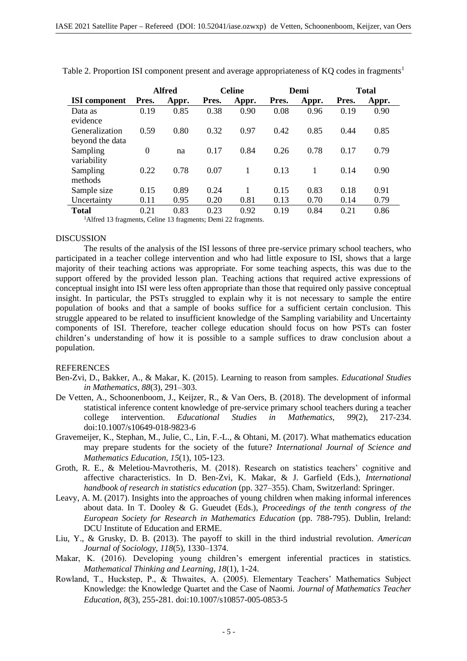|                                   | <b>Alfred</b> |       | <b>Celine</b> |       | Demi  |       | <b>Total</b> |       |
|-----------------------------------|---------------|-------|---------------|-------|-------|-------|--------------|-------|
| <b>ISI</b> component              | Pres.         | Appr. | Pres.         | Appr. | Pres. | Appr. | Pres.        | Appr. |
| Data as<br>evidence               | 0.19          | 0.85  | 0.38          | 0.90  | 0.08  | 0.96  | 0.19         | 0.90  |
| Generalization<br>beyond the data | 0.59          | 0.80  | 0.32          | 0.97  | 0.42  | 0.85  | 0.44         | 0.85  |
| Sampling<br>variability           | $\theta$      | na    | 0.17          | 0.84  | 0.26  | 0.78  | 0.17         | 0.79  |
| Sampling<br>methods               | 0.22          | 0.78  | 0.07          | 1     | 0.13  |       | 0.14         | 0.90  |
| Sample size                       | 0.15          | 0.89  | 0.24          |       | 0.15  | 0.83  | 0.18         | 0.91  |
| Uncertainty                       | 0.11          | 0.95  | 0.20          | 0.81  | 0.13  | 0.70  | 0.14         | 0.79  |
| <b>Total</b><br>.                 | 0.21          | 0.83  | 0.23          | 0.92  | 0.19  | 0.84  | 0.21         | 0.86  |

Table 2. Proportion ISI component present and average appropriateness of KQ codes in fragments<sup>1</sup>

<sup>1</sup>Alfred 13 fragments, Celine 13 fragments; Demi 22 fragments.

# **DISCUSSION**

The results of the analysis of the ISI lessons of three pre-service primary school teachers, who participated in a teacher college intervention and who had little exposure to ISI, shows that a large majority of their teaching actions was appropriate. For some teaching aspects, this was due to the support offered by the provided lesson plan. Teaching actions that required active expressions of conceptual insight into ISI were less often appropriate than those that required only passive conceptual insight. In particular, the PSTs struggled to explain why it is not necessary to sample the entire population of books and that a sample of books suffice for a sufficient certain conclusion. This struggle appeared to be related to insufficient knowledge of the Sampling variability and Uncertainty components of ISI. Therefore, teacher college education should focus on how PSTs can foster children's understanding of how it is possible to a sample suffices to draw conclusion about a population.

# REFERENCES

- Ben-Zvi, D., Bakker, A., & Makar, K. (2015). Learning to reason from samples. *Educational Studies in Mathematics, 88*(3), 291–303.
- De Vetten, A., Schoonenboom, J., Keijzer, R., & Van Oers, B. (2018). The development of informal statistical inference content knowledge of pre-service primary school teachers during a teacher college intervention. *Educational Studies in Mathematics, 99*(2), 217-234. doi:10.1007/s10649-018-9823-6
- Gravemeijer, K., Stephan, M., Julie, C., Lin, F.-L., & Ohtani, M. (2017). What mathematics education may prepare students for the society of the future? *International Journal of Science and Mathematics Education, 15*(1), 105-123.
- Groth, R. E., & Meletiou-Mavrotheris, M. (2018). Research on statistics teachers' cognitive and affective characteristics. In D. Ben-Zvi, K. Makar, & J. Garfield (Eds.), *International handbook of research in statistics education* (pp. 327–355). Cham, Switzerland: Springer.
- Leavy, A. M. (2017). Insights into the approaches of young children when making informal inferences about data. In T. Dooley & G. Gueudet (Eds.), *Proceedings of the tenth congress of the European Society for Research in Mathematics Education* (pp. 788-795). Dublin, Ireland: DCU Institute of Education and ERME.
- Liu, Y., & Grusky, D. B. (2013). The payoff to skill in the third industrial revolution. *American Journal of Sociology, 118*(5), 1330–1374.
- Makar, K. (2016). Developing young children's emergent inferential practices in statistics. *Mathematical Thinking and Learning, 18*(1), 1-24.
- Rowland, T., Huckstep, P., & Thwaites, A. (2005). Elementary Teachers' Mathematics Subject Knowledge: the Knowledge Quartet and the Case of Naomi. *Journal of Mathematics Teacher Education, 8*(3), 255-281. doi:10.1007/s10857-005-0853-5